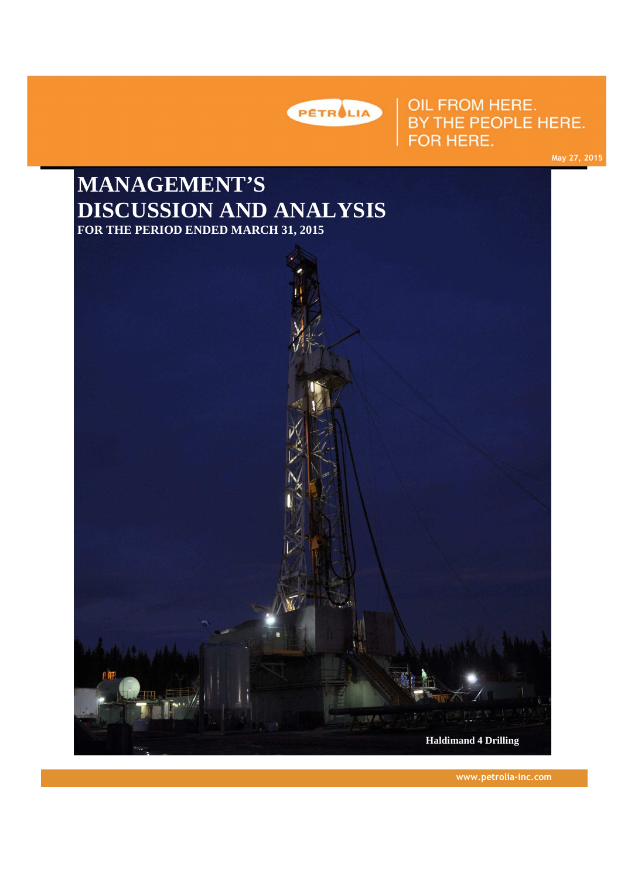

# OIL FROM HERE. BY THE PEOPLE HERE. FOR HERE.

**May 27, 2015 May 27, 2015**

# **MANAGEMENT'S DISCUSSION AND ANALYSIS FOR THE PERIOD ENDED MARCH 31, 2015**



**www.petrolia-inc.com**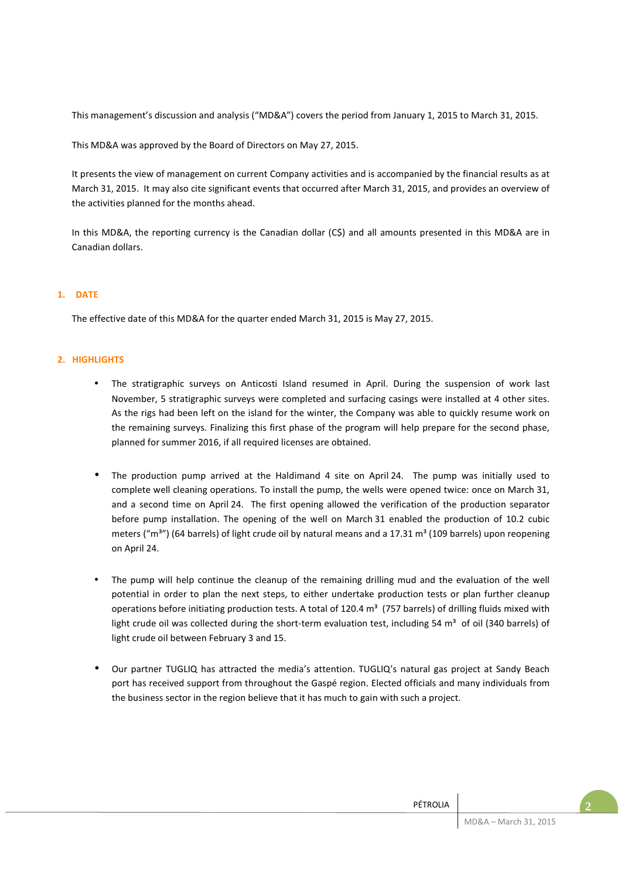This management's discussion and analysis ("MD&A") covers the period from January 1, 2015 to March 31, 2015.

This MD&A was approved by the Board of Directors on May 27, 2015.

It presents the view of management on current Company activities and is accompanied by the financial results as at March 31, 2015. It may also cite significant events that occurred after March 31, 2015, and provides an overview of the activities planned for the months ahead.

In this MD&A, the reporting currency is the Canadian dollar (C\$) and all amounts presented in this MD&A are in Canadian dollars.

# **1. DATE**

The effective date of this MD&A for the quarter ended March 31, 2015 is May 27, 2015.

# **2. HIGHLIGHTS**

- The stratigraphic surveys on Anticosti Island resumed in April. During the suspension of work last November, 5 stratigraphic surveys were completed and surfacing casings were installed at 4 other sites. As the rigs had been left on the island for the winter, the Company was able to quickly resume work on the remaining surveys. Finalizing this first phase of the program will help prepare for the second phase, planned for summer 2016, if all required licenses are obtained.
- The production pump arrived at the Haldimand 4 site on April 24. The pump was initially used to complete well cleaning operations. To install the pump, the wells were opened twice: once on March 31, and a second time on April 24. The first opening allowed the verification of the production separator before pump installation. The opening of the well on March 31 enabled the production of 10.2 cubic meters ("m<sup>3</sup>") (64 barrels) of light crude oil by natural means and a 17.31 m<sup>3</sup> (109 barrels) upon reopening on April 24.
- The pump will help continue the cleanup of the remaining drilling mud and the evaluation of the well potential in order to plan the next steps, to either undertake production tests or plan further cleanup operations before initiating production tests. A total of 120.4  $m<sup>3</sup>$  (757 barrels) of drilling fluids mixed with light crude oil was collected during the short-term evaluation test, including 54  $m<sup>3</sup>$  of oil (340 barrels) of light crude oil between February 3 and 15.
- Our partner TUGLIQ has attracted the media's attention. TUGLIQ's natural gas project at Sandy Beach port has received support from throughout the Gaspé region. Elected officials and many individuals from the business sector in the region believe that it has much to gain with such a project.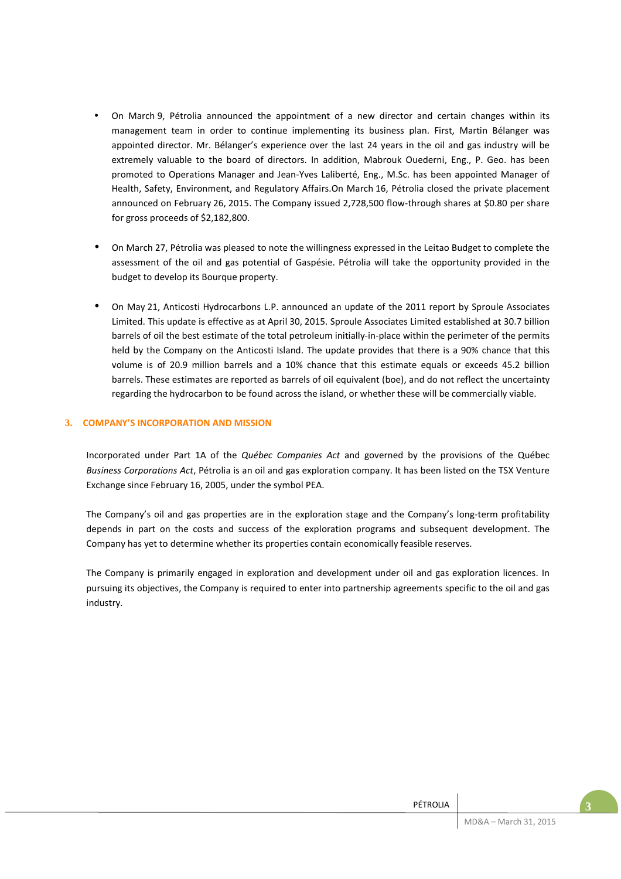- On March 9, Pétrolia announced the appointment of a new director and certain changes within its management team in order to continue implementing its business plan. First, Martin Bélanger was appointed director. Mr. Bélanger's experience over the last 24 years in the oil and gas industry will be extremely valuable to the board of directors. In addition, Mabrouk Ouederni, Eng., P. Geo. has been promoted to Operations Manager and Jean-Yves Laliberté, Eng., M.Sc. has been appointed Manager of Health, Safety, Environment, and Regulatory Affairs.On March 16, Pétrolia closed the private placement announced on February 26, 2015. The Company issued 2,728,500 flow-through shares at \$0.80 per share for gross proceeds of \$2,182,800.
- On March 27, Pétrolia was pleased to note the willingness expressed in the Leitao Budget to complete the assessment of the oil and gas potential of Gaspésie. Pétrolia will take the opportunity provided in the budget to develop its Bourque property.
- On May 21, Anticosti Hydrocarbons L.P. announced an update of the 2011 report by Sproule Associates Limited. This update is effective as at April 30, 2015. Sproule Associates Limited established at 30.7 billion barrels of oil the best estimate of the total petroleum initially-in-place within the perimeter of the permits held by the Company on the Anticosti Island. The update provides that there is a 90% chance that this volume is of 20.9 million barrels and a 10% chance that this estimate equals or exceeds 45.2 billion barrels. These estimates are reported as barrels of oil equivalent (boe), and do not reflect the uncertainty regarding the hydrocarbon to be found across the island, or whether these will be commercially viable.

# **3. COMPANY'S INCORPORATION AND MISSION**

Incorporated under Part 1A of the *Québec Companies Act* and governed by the provisions of the Québec *Business Corporations Act*, Pétrolia is an oil and gas exploration company. It has been listed on the TSX Venture Exchange since February 16, 2005, under the symbol PEA.

The Company's oil and gas properties are in the exploration stage and the Company's long-term profitability depends in part on the costs and success of the exploration programs and subsequent development. The Company has yet to determine whether its properties contain economically feasible reserves.

The Company is primarily engaged in exploration and development under oil and gas exploration licences. In pursuing its objectives, the Company is required to enter into partnership agreements specific to the oil and gas industry.

| PÉTROLIA<br><b>LINOLI</b> |                                  |  |
|---------------------------|----------------------------------|--|
|                           | .<br>$\sim$ $\sim$ $\sim$ $\sim$ |  |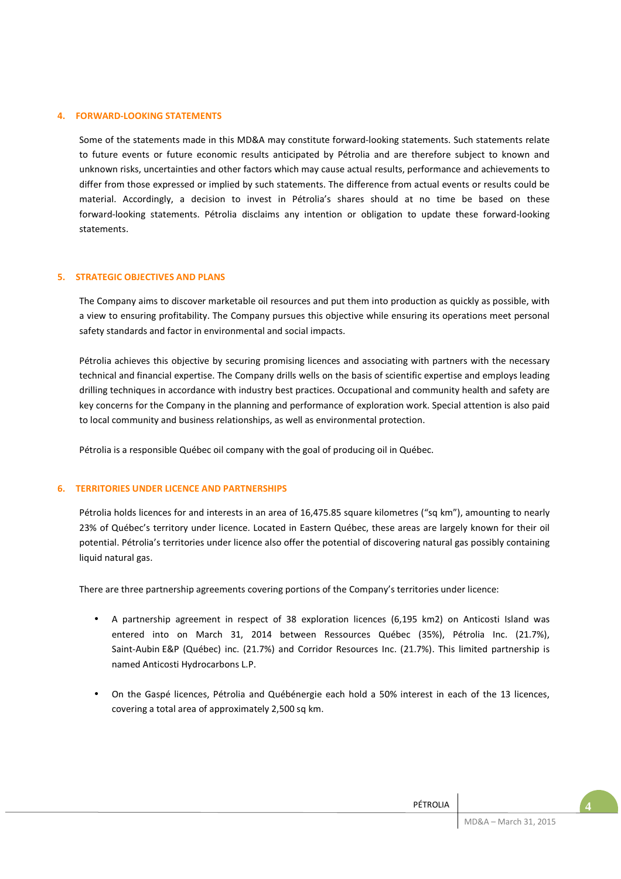### **4. FORWARD-LOOKING STATEMENTS**

Some of the statements made in this MD&A may constitute forward-looking statements. Such statements relate to future events or future economic results anticipated by Pétrolia and are therefore subject to known and unknown risks, uncertainties and other factors which may cause actual results, performance and achievements to differ from those expressed or implied by such statements. The difference from actual events or results could be material. Accordingly, a decision to invest in Pétrolia's shares should at no time be based on these forward-looking statements. Pétrolia disclaims any intention or obligation to update these forward-looking statements.

### **5. STRATEGIC OBJECTIVES AND PLANS**

The Company aims to discover marketable oil resources and put them into production as quickly as possible, with a view to ensuring profitability. The Company pursues this objective while ensuring its operations meet personal safety standards and factor in environmental and social impacts.

Pétrolia achieves this objective by securing promising licences and associating with partners with the necessary technical and financial expertise. The Company drills wells on the basis of scientific expertise and employs leading drilling techniques in accordance with industry best practices. Occupational and community health and safety are key concerns for the Company in the planning and performance of exploration work. Special attention is also paid to local community and business relationships, as well as environmental protection.

Pétrolia is a responsible Québec oil company with the goal of producing oil in Québec.

### **6. TERRITORIES UNDER LICENCE AND PARTNERSHIPS**

Pétrolia holds licences for and interests in an area of 16,475.85 square kilometres ("sq km"), amounting to nearly 23% of Québec's territory under licence. Located in Eastern Québec, these areas are largely known for their oil potential. Pétrolia's territories under licence also offer the potential of discovering natural gas possibly containing liquid natural gas.

There are three partnership agreements covering portions of the Company's territories under licence:

- A partnership agreement in respect of 38 exploration licences (6,195 km2) on Anticosti Island was entered into on March 31, 2014 between Ressources Québec (35%), Pétrolia Inc. (21.7%), Saint-Aubin E&P (Québec) inc. (21.7%) and Corridor Resources Inc. (21.7%). This limited partnership is named Anticosti Hydrocarbons L.P.
- On the Gaspé licences, Pétrolia and Québénergie each hold a 50% interest in each of the 13 licences, covering a total area of approximately 2,500 sq km.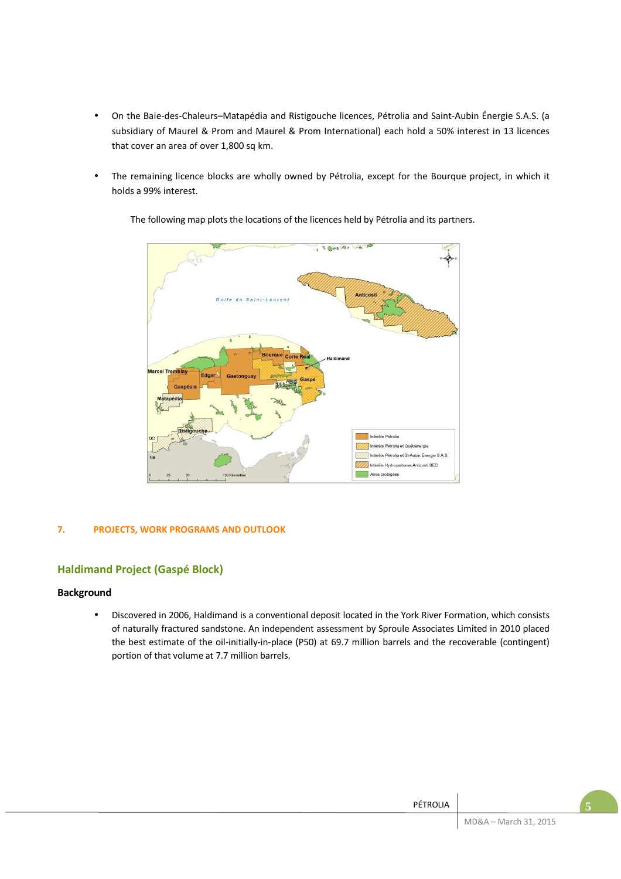- On the Baie-des-Chaleurs–Matapédia and Ristigouche licences, Pétrolia and Saint-Aubin Énergie S.A.S. (a subsidiary of Maurel & Prom and Maurel & Prom International) each hold a 50% interest in 13 licences that cover an area of over 1,800 sq km.
- The remaining licence blocks are wholly owned by Pétrolia, except for the Bourque project, in which it holds a 99% interest.



The following map plots the locations of the licences held by Pétrolia and its partners.

# **7. PROJECTS, WORK PROGRAMS AND OUTLOOK**

# **Haldimand Project (Gaspé Block)**

# **Background**

• Discovered in 2006, Haldimand is a conventional deposit located in the York River Formation, which consists of naturally fractured sandstone. An independent assessment by Sproule Associates Limited in 2010 placed the best estimate of the oil-initially-in-place (P50) at 69.7 million barrels and the recoverable (contingent) portion of that volume at 7.7 million barrels.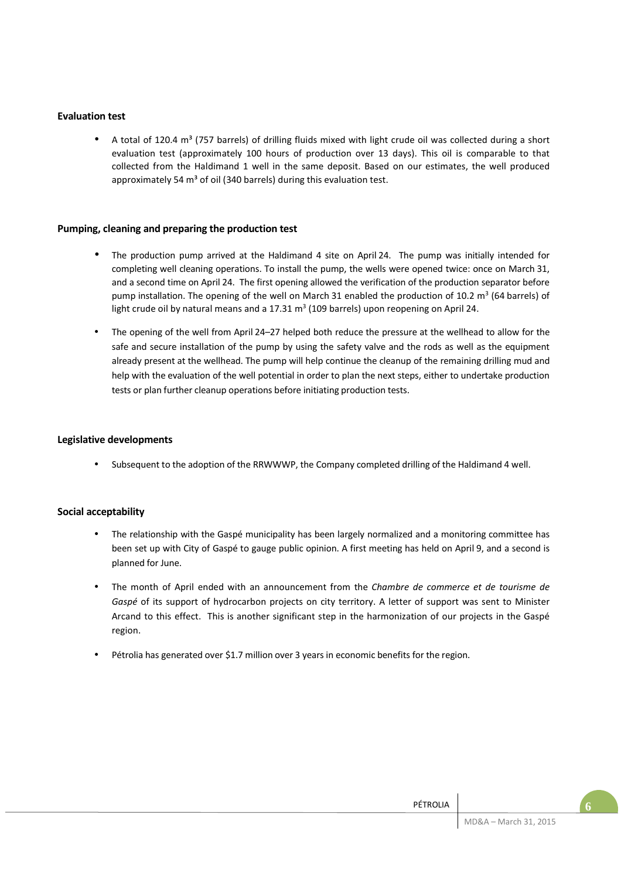# **Evaluation test**

A total of 120.4 m<sup>3</sup> (757 barrels) of drilling fluids mixed with light crude oil was collected during a short evaluation test (approximately 100 hours of production over 13 days). This oil is comparable to that collected from the Haldimand 1 well in the same deposit. Based on our estimates, the well produced approximately 54  $m<sup>3</sup>$  of oil (340 barrels) during this evaluation test.

# **Pumping, cleaning and preparing the production test**

- The production pump arrived at the Haldimand 4 site on April 24. The pump was initially intended for completing well cleaning operations. To install the pump, the wells were opened twice: once on March 31, and a second time on April 24. The first opening allowed the verification of the production separator before pump installation. The opening of the well on March 31 enabled the production of 10.2  $m^3$  (64 barrels) of light crude oil by natural means and a  $17.31 \text{ m}^3$  (109 barrels) upon reopening on April 24.
- The opening of the well from April 24–27 helped both reduce the pressure at the wellhead to allow for the safe and secure installation of the pump by using the safety valve and the rods as well as the equipment already present at the wellhead. The pump will help continue the cleanup of the remaining drilling mud and help with the evaluation of the well potential in order to plan the next steps, either to undertake production tests or plan further cleanup operations before initiating production tests.

### **Legislative developments**

• Subsequent to the adoption of the RRWWWP, the Company completed drilling of the Haldimand 4 well.

# **Social acceptability**

- The relationship with the Gaspé municipality has been largely normalized and a monitoring committee has been set up with City of Gaspé to gauge public opinion. A first meeting has held on April 9, and a second is planned for June.
- The month of April ended with an announcement from the *Chambre de commerce et de tourisme de Gaspé* of its support of hydrocarbon projects on city territory. A letter of support was sent to Minister Arcand to this effect. This is another significant step in the harmonization of our projects in the Gaspé region.
- Pétrolia has generated over \$1.7 million over 3 years in economic benefits for the region.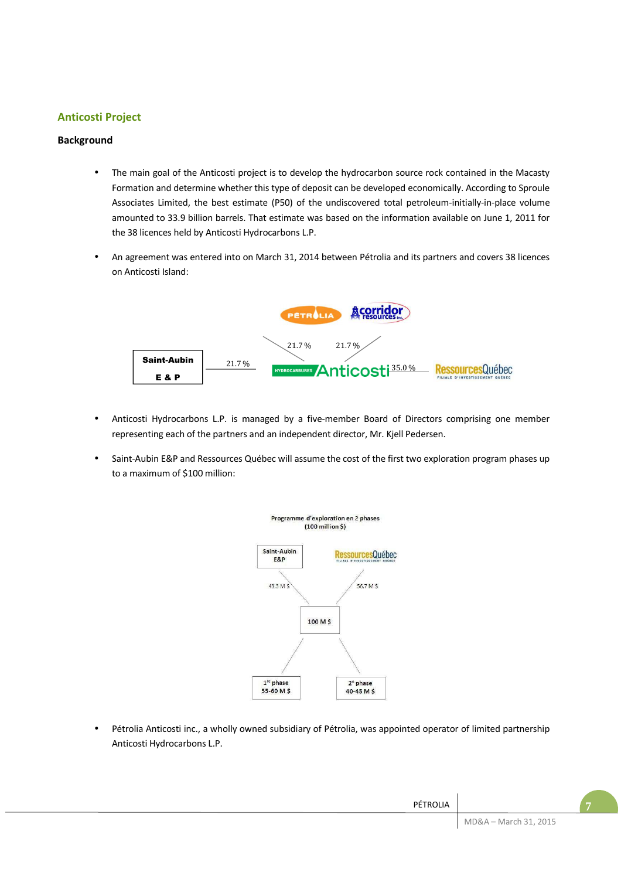# **Anticosti Project**

# **Background**

- The main goal of the Anticosti project is to develop the hydrocarbon source rock contained in the Macasty Formation and determine whether this type of deposit can be developed economically. According to Sproule Associates Limited, the best estimate (P50) of the undiscovered total petroleum-initially-in-place volume amounted to 33.9 billion barrels. That estimate was based on the information available on June 1, 2011 for the 38 licences held by Anticosti Hydrocarbons L.P.
- An agreement was entered into on March 31, 2014 between Pétrolia and its partners and covers 38 licences on Anticosti Island:



- Anticosti Hydrocarbons L.P. is managed by a five-member Board of Directors comprising one member representing each of the partners and an independent director, Mr. Kjell Pedersen.
- Saint-Aubin E&P and Ressources Québec will assume the cost of the first two exploration program phases up to a maximum of \$100 million:



• Pétrolia Anticosti inc., a wholly owned subsidiary of Pétrolia, was appointed operator of limited partnership Anticosti Hydrocarbons L.P.

|                       | PÉTROLIA |
|-----------------------|----------|
| MD&A - March 31, 2015 |          |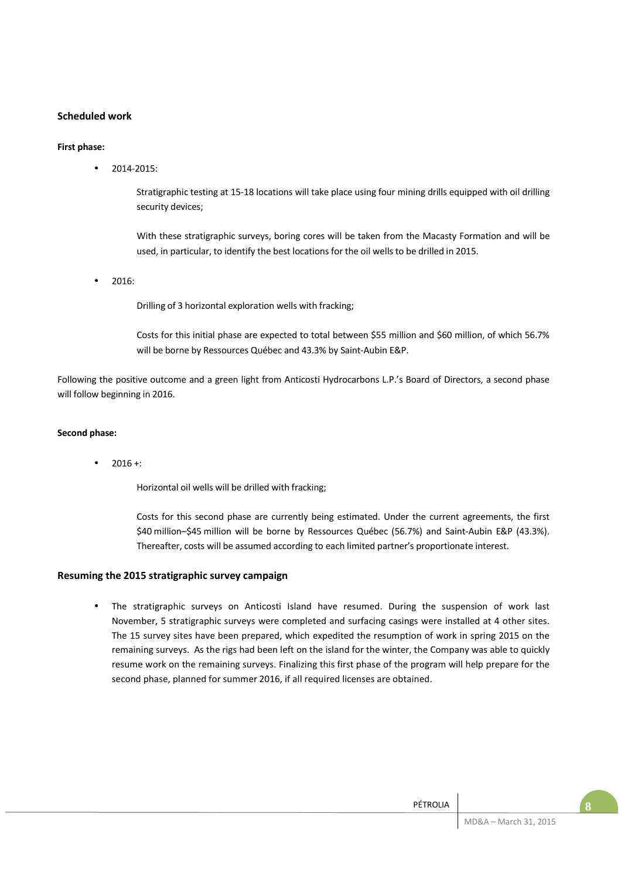# **Scheduled work**

### **First phase:**

• 2014-2015:

Stratigraphic testing at 15-18 locations will take place using four mining drills equipped with oil drilling security devices;

With these stratigraphic surveys, boring cores will be taken from the Macasty Formation and will be used, in particular, to identify the best locations for the oil wells to be drilled in 2015.

• 2016:

Drilling of 3 horizontal exploration wells with fracking;

Costs for this initial phase are expected to total between \$55 million and \$60 million, of which 56.7% will be borne by Ressources Québec and 43.3% by Saint-Aubin E&P.

Following the positive outcome and a green light from Anticosti Hydrocarbons L.P.'s Board of Directors, a second phase will follow beginning in 2016.

### **Second phase:**

 $2016 +$ :

Horizontal oil wells will be drilled with fracking;

Costs for this second phase are currently being estimated. Under the current agreements, the first \$40 million–\$45 million will be borne by Ressources Québec (56.7%) and Saint-Aubin E&P (43.3%). Thereafter, costs will be assumed according to each limited partner's proportionate interest.

### **Resuming the 2015 stratigraphic survey campaign**

• The stratigraphic surveys on Anticosti Island have resumed. During the suspension of work last November, 5 stratigraphic surveys were completed and surfacing casings were installed at 4 other sites. The 15 survey sites have been prepared, which expedited the resumption of work in spring 2015 on the remaining surveys. As the rigs had been left on the island for the winter, the Company was able to quickly resume work on the remaining surveys. Finalizing this first phase of the program will help prepare for the second phase, planned for summer 2016, if all required licenses are obtained.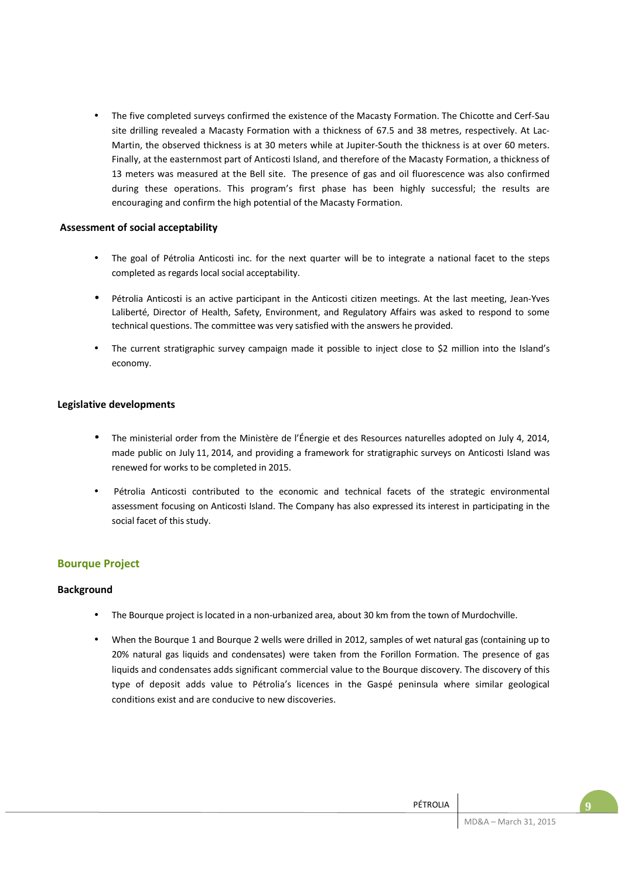• The five completed surveys confirmed the existence of the Macasty Formation. The Chicotte and Cerf-Sau site drilling revealed a Macasty Formation with a thickness of 67.5 and 38 metres, respectively. At Lac-Martin, the observed thickness is at 30 meters while at Jupiter-South the thickness is at over 60 meters. Finally, at the easternmost part of Anticosti Island, and therefore of the Macasty Formation, a thickness of 13 meters was measured at the Bell site. The presence of gas and oil fluorescence was also confirmed during these operations. This program's first phase has been highly successful; the results are encouraging and confirm the high potential of the Macasty Formation.

# **Assessment of social acceptability**

- The goal of Pétrolia Anticosti inc. for the next quarter will be to integrate a national facet to the steps completed as regards local social acceptability.
- Pétrolia Anticosti is an active participant in the Anticosti citizen meetings. At the last meeting, Jean-Yves Laliberté, Director of Health, Safety, Environment, and Regulatory Affairs was asked to respond to some technical questions. The committee was very satisfied with the answers he provided.
- The current stratigraphic survey campaign made it possible to inject close to \$2 million into the Island's economy.

# **Legislative developments**

- The ministerial order from the Ministère de l'Énergie et des Resources naturelles adopted on July 4, 2014, made public on July 11, 2014, and providing a framework for stratigraphic surveys on Anticosti Island was renewed for works to be completed in 2015.
- Pétrolia Anticosti contributed to the economic and technical facets of the strategic environmental assessment focusing on Anticosti Island. The Company has also expressed its interest in participating in the social facet of this study.

# **Bourque Project**

# **Background**

- The Bourque project is located in a non-urbanized area, about 30 km from the town of Murdochville.
- When the Bourque 1 and Bourque 2 wells were drilled in 2012, samples of wet natural gas (containing up to 20% natural gas liquids and condensates) were taken from the Forillon Formation. The presence of gas liquids and condensates adds significant commercial value to the Bourque discovery. The discovery of this type of deposit adds value to Pétrolia's licences in the Gaspé peninsula where similar geological conditions exist and are conducive to new discoveries.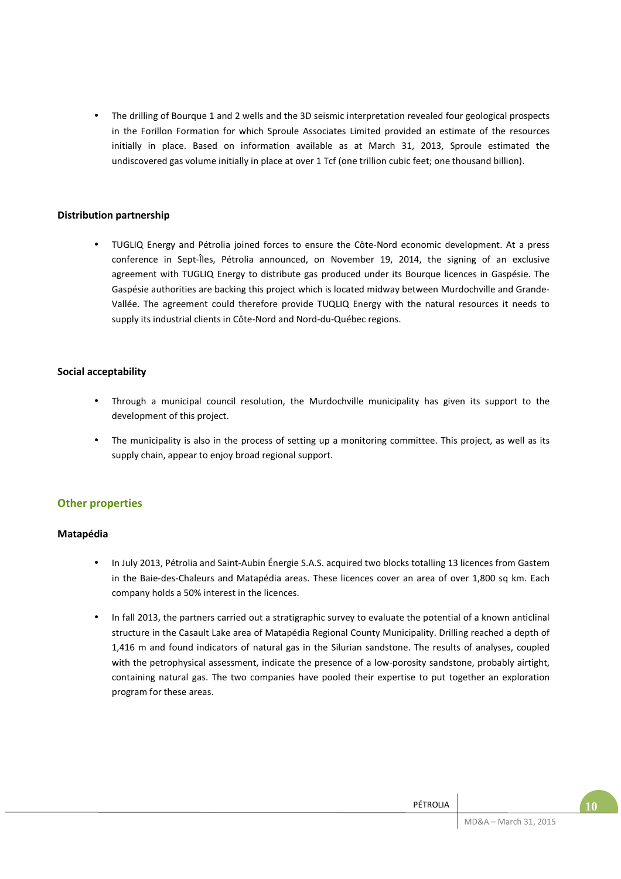• The drilling of Bourque 1 and 2 wells and the 3D seismic interpretation revealed four geological prospects in the Forillon Formation for which Sproule Associates Limited provided an estimate of the resources initially in place. Based on information available as at March 31, 2013, Sproule estimated the undiscovered gas volume initially in place at over 1 Tcf (one trillion cubic feet; one thousand billion).

# **Distribution partnership**

• TUGLIQ Energy and Pétrolia joined forces to ensure the Côte-Nord economic development. At a press conference in Sept-Îles, Pétrolia announced, on November 19, 2014, the signing of an exclusive agreement with TUGLIQ Energy to distribute gas produced under its Bourque licences in Gaspésie. The Gaspésie authorities are backing this project which is located midway between Murdochville and Grande-Vallée. The agreement could therefore provide TUQLIQ Energy with the natural resources it needs to supply its industrial clients in Côte-Nord and Nord-du-Québec regions.

# **Social acceptability**

- Through a municipal council resolution, the Murdochville municipality has given its support to the development of this project.
- The municipality is also in the process of setting up a monitoring committee. This project, as well as its supply chain, appear to enjoy broad regional support.

# **Other properties**

### **Matapédia**

- In July 2013, Pétrolia and Saint-Aubin Énergie S.A.S. acquired two blocks totalling 13 licences from Gastem in the Baie-des-Chaleurs and Matapédia areas. These licences cover an area of over 1,800 sq km. Each company holds a 50% interest in the licences.
- In fall 2013, the partners carried out a stratigraphic survey to evaluate the potential of a known anticlinal structure in the Casault Lake area of Matapédia Regional County Municipality. Drilling reached a depth of 1,416 m and found indicators of natural gas in the Silurian sandstone. The results of analyses, coupled with the petrophysical assessment, indicate the presence of a low-porosity sandstone, probably airtight, containing natural gas. The two companies have pooled their expertise to put together an exploration program for these areas.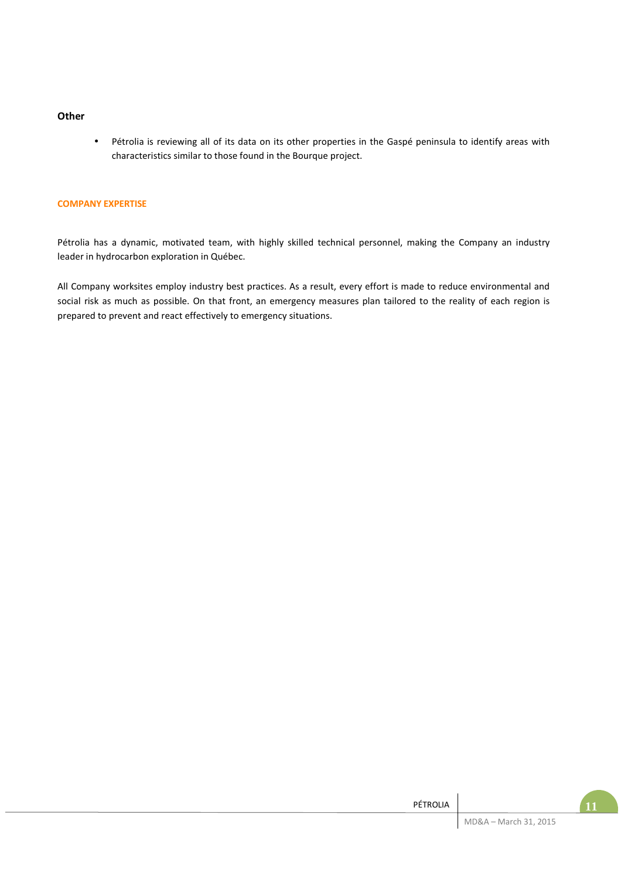### **Other**

• Pétrolia is reviewing all of its data on its other properties in the Gaspé peninsula to identify areas with characteristics similar to those found in the Bourque project.

### **COMPANY EXPERTISE**

Pétrolia has a dynamic, motivated team, with highly skilled technical personnel, making the Company an industry leader in hydrocarbon exploration in Québec.

All Company worksites employ industry best practices. As a result, every effort is made to reduce environmental and social risk as much as possible. On that front, an emergency measures plan tailored to the reality of each region is prepared to prevent and react effectively to emergency situations.

| PÉTROLIA |                       |  |
|----------|-----------------------|--|
|          | MD&A - March 31, 2015 |  |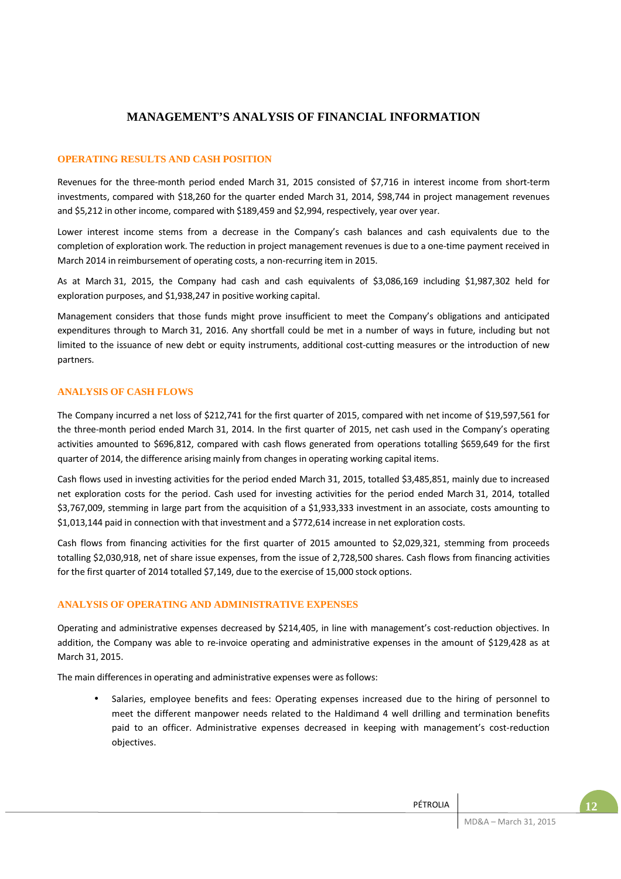# **MANAGEMENT'S ANALYSIS OF FINANCIAL INFORMATION**

### **OPERATING RESULTS AND CASH POSITION**

Revenues for the three-month period ended March 31, 2015 consisted of \$7,716 in interest income from short-term investments, compared with \$18,260 for the quarter ended March 31, 2014, \$98,744 in project management revenues and \$5,212 in other income, compared with \$189,459 and \$2,994, respectively, year over year.

Lower interest income stems from a decrease in the Company's cash balances and cash equivalents due to the completion of exploration work. The reduction in project management revenues is due to a one-time payment received in March 2014 in reimbursement of operating costs, a non-recurring item in 2015.

As at March 31, 2015, the Company had cash and cash equivalents of \$3,086,169 including \$1,987,302 held for exploration purposes, and \$1,938,247 in positive working capital.

Management considers that those funds might prove insufficient to meet the Company's obligations and anticipated expenditures through to March 31, 2016. Any shortfall could be met in a number of ways in future, including but not limited to the issuance of new debt or equity instruments, additional cost-cutting measures or the introduction of new partners.

### **ANALYSIS OF CASH FLOWS**

The Company incurred a net loss of \$212,741 for the first quarter of 2015, compared with net income of \$19,597,561 for the three-month period ended March 31, 2014. In the first quarter of 2015, net cash used in the Company's operating activities amounted to \$696,812, compared with cash flows generated from operations totalling \$659,649 for the first quarter of 2014, the difference arising mainly from changes in operating working capital items.

Cash flows used in investing activities for the period ended March 31, 2015, totalled \$3,485,851, mainly due to increased net exploration costs for the period. Cash used for investing activities for the period ended March 31, 2014, totalled \$3,767,009, stemming in large part from the acquisition of a \$1,933,333 investment in an associate, costs amounting to \$1,013,144 paid in connection with that investment and a \$772,614 increase in net exploration costs.

Cash flows from financing activities for the first quarter of 2015 amounted to \$2,029,321, stemming from proceeds totalling \$2,030,918, net of share issue expenses, from the issue of 2,728,500 shares. Cash flows from financing activities for the first quarter of 2014 totalled \$7,149, due to the exercise of 15,000 stock options.

### **ANALYSIS OF OPERATING AND ADMINISTRATIVE EXPENSES**

Operating and administrative expenses decreased by \$214,405, in line with management's cost-reduction objectives. In addition, the Company was able to re-invoice operating and administrative expenses in the amount of \$129,428 as at March 31, 2015.

The main differences in operating and administrative expenses were as follows:

• Salaries, employee benefits and fees: Operating expenses increased due to the hiring of personnel to meet the different manpower needs related to the Haldimand 4 well drilling and termination benefits paid to an officer. Administrative expenses decreased in keeping with management's cost-reduction objectives.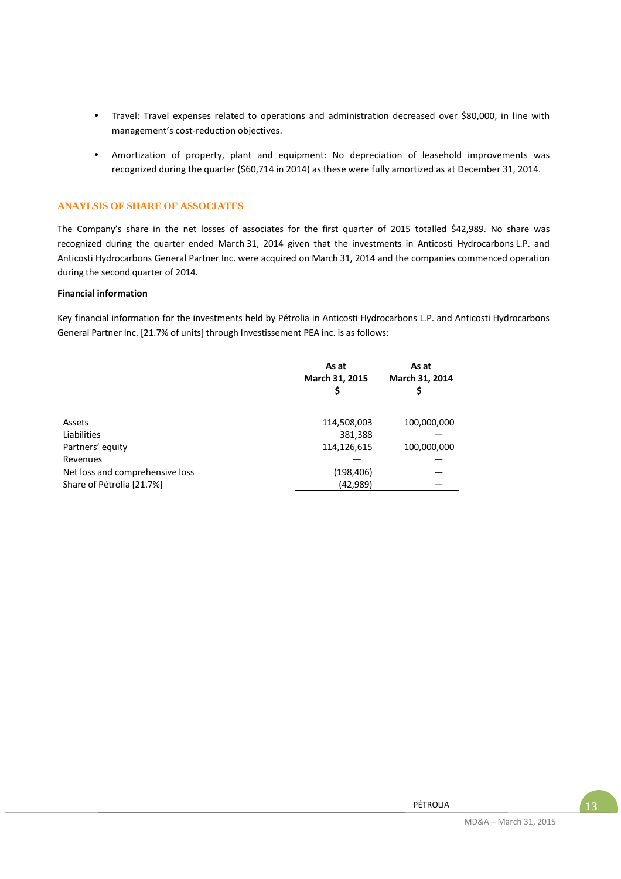- Travel: Travel expenses related to operations and administration decreased over \$80,000, in line with management's cost-reduction objectives.
- Amortization of property, plant and equipment: No depreciation of leasehold improvements was recognized during the quarter (\$60,714 in 2014) as these were fully amortized as at December 31, 2014.

### **ANAYLSIS OF SHARE OF ASSOCIATES**

The Company's share in the net losses of associates for the first quarter of 2015 totalled \$42,989. No share was recognized during the quarter ended March 31, 2014 given that the investments in Anticosti Hydrocarbons L.P. and Anticosti Hydrocarbons General Partner Inc. were acquired on March 31, 2014 and the companies commenced operation during the second quarter of 2014.

### **Financial information**

Key financial information for the investments held by Pétrolia in Anticosti Hydrocarbons L.P. and Anticosti Hydrocarbons General Partner Inc. [21.7% of units] through Investissement PEA inc. is as follows:

|                                 | As at<br>March 31, 2015 | As at<br>March 31, 2014 |
|---------------------------------|-------------------------|-------------------------|
|                                 |                         |                         |
| Assets                          | 114,508,003             | 100,000,000             |
| Liabilities                     | 381,388                 |                         |
| Partners' equity                | 114,126,615             | 100,000,000             |
| Revenues                        |                         |                         |
| Net loss and comprehensive loss | (198, 406)              |                         |
| Share of Pétrolia [21.7%]       | (42, 989)               |                         |

| PÉTROLIA |                       |
|----------|-----------------------|
|          | MD&A - March 31, 2015 |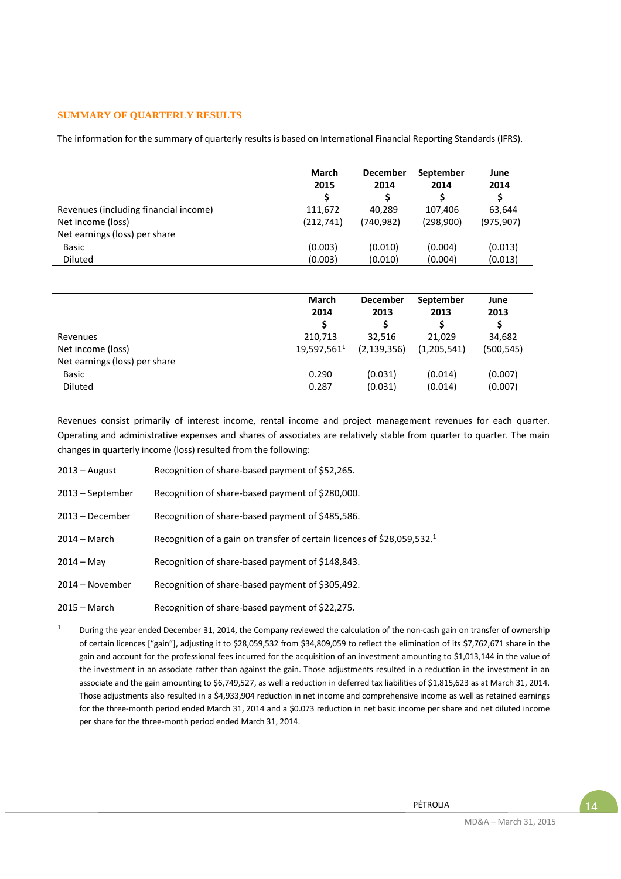### **SUMMARY OF QUARTERLY RESULTS**

The information for the summary of quarterly results is based on International Financial Reporting Standards (IFRS).

|                                       | March<br>2015<br>S | <b>December</b><br>2014<br>S | September<br>2014 | June<br>2014<br>Ś |
|---------------------------------------|--------------------|------------------------------|-------------------|-------------------|
| Revenues (including financial income) | 111,672            | 40.289                       | 107.406           | 63.644            |
| Net income (loss)                     | (212,741)          | (740, 982)                   | (298,900)         | (975, 907)        |
| Net earnings (loss) per share         |                    |                              |                   |                   |
| Basic                                 | (0.003)            | (0.010)                      | (0.004)           | (0.013)           |
| <b>Diluted</b>                        | (0.003)            | (0.010)                      | (0.004)           | (0.013)           |

|                               | <b>March</b><br>2014    | <b>December</b><br>2013 | September<br>2013 | June<br>2013 |
|-------------------------------|-------------------------|-------------------------|-------------------|--------------|
| Revenues                      | 210,713                 | 32.516                  | 21,029            | 34,682       |
| Net income (loss)             | 19,597,561 <sup>1</sup> | (2, 139, 356)           | (1,205,541)       | (500, 545)   |
| Net earnings (loss) per share |                         |                         |                   |              |
| Basic                         | 0.290                   | (0.031)                 | (0.014)           | (0.007)      |
| <b>Diluted</b>                | 0.287                   | (0.031)                 | (0.014)           | (0.007)      |

Revenues consist primarily of interest income, rental income and project management revenues for each quarter. Operating and administrative expenses and shares of associates are relatively stable from quarter to quarter. The main changes in quarterly income (loss) resulted from the following:

- 2013 August Recognition of share-based payment of \$52,265.
- 2013 September Recognition of share-based payment of \$280,000.
- 2013 December Recognition of share-based payment of \$485,586.
- 2014 March Recognition of a gain on transfer of certain licences of \$28,059,532.<sup>1</sup>
- 2014 May Recognition of share-based payment of \$148,843.
- 2014 November Recognition of share-based payment of \$305,492.
- 2015 March Recognition of share-based payment of \$22,275.

1 During the year ended December 31, 2014, the Company reviewed the calculation of the non-cash gain on transfer of ownership of certain licences ["gain"], adjusting it to \$28,059,532 from \$34,809,059 to reflect the elimination of its \$7,762,671 share in the gain and account for the professional fees incurred for the acquisition of an investment amounting to \$1,013,144 in the value of the investment in an associate rather than against the gain. Those adjustments resulted in a reduction in the investment in an associate and the gain amounting to \$6,749,527, as well a reduction in deferred tax liabilities of \$1,815,623 as at March 31, 2014. Those adjustments also resulted in a \$4,933,904 reduction in net income and comprehensive income as well as retained earnings for the three-month period ended March 31, 2014 and a \$0.073 reduction in net basic income per share and net diluted income per share for the three-month period ended March 31, 2014.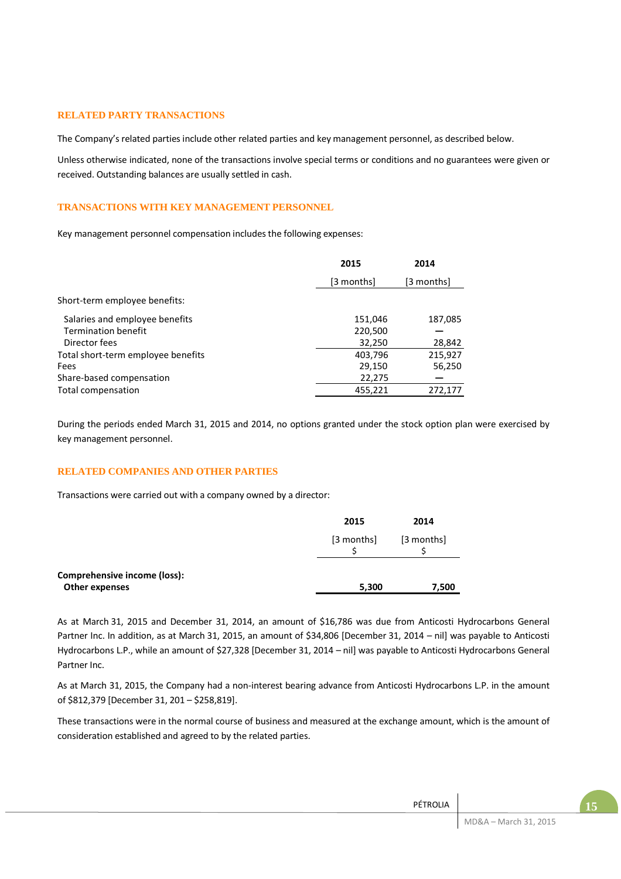### **RELATED PARTY TRANSACTIONS**

The Company's related parties include other related parties and key management personnel, as described below.

Unless otherwise indicated, none of the transactions involve special terms or conditions and no guarantees were given or received. Outstanding balances are usually settled in cash.

### **TRANSACTIONS WITH KEY MANAGEMENT PERSONNEL**

Key management personnel compensation includes the following expenses:

|                                    | 2015       | 2014       |
|------------------------------------|------------|------------|
|                                    | [3 months] | [3 months] |
| Short-term employee benefits:      |            |            |
| Salaries and employee benefits     | 151,046    | 187,085    |
| <b>Termination benefit</b>         | 220,500    |            |
| Director fees                      | 32,250     | 28,842     |
| Total short-term employee benefits | 403,796    | 215,927    |
| Fees                               | 29,150     | 56,250     |
| Share-based compensation           | 22,275     |            |
| Total compensation                 | 455,221    | 272,177    |

During the periods ended March 31, 2015 and 2014, no options granted under the stock option plan were exercised by key management personnel.

### **RELATED COMPANIES AND OTHER PARTIES**

Transactions were carried out with a company owned by a director:

|                                                | 2015       | 2014       |
|------------------------------------------------|------------|------------|
|                                                | [3 months] | [3 months] |
| Comprehensive income (loss):<br>Other expenses | 5,300      | 7,500      |

As at March 31, 2015 and December 31, 2014, an amount of \$16,786 was due from Anticosti Hydrocarbons General Partner Inc. In addition, as at March 31, 2015, an amount of \$34,806 [December 31, 2014 – nil] was payable to Anticosti Hydrocarbons L.P., while an amount of \$27,328 [December 31, 2014 – nil] was payable to Anticosti Hydrocarbons General Partner Inc.

As at March 31, 2015, the Company had a non-interest bearing advance from Anticosti Hydrocarbons L.P. in the amount of \$812,379 [December 31, 201 – \$258,819].

These transactions were in the normal course of business and measured at the exchange amount, which is the amount of consideration established and agreed to by the related parties.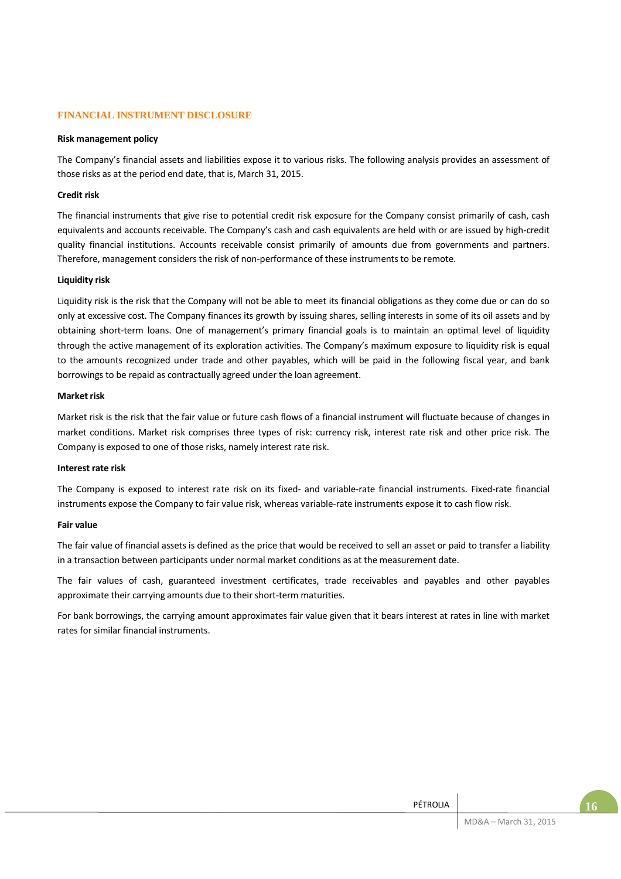### **FINANCIAL INSTRUMENT DISCLOSURE**

### **Risk management policy**

The Company's financial assets and liabilities expose it to various risks. The following analysis provides an assessment of those risks as at the period end date, that is, March 31, 2015.

### **Credit risk**

The financial instruments that give rise to potential credit risk exposure for the Company consist primarily of cash, cash equivalents and accounts receivable. The Company's cash and cash equivalents are held with or are issued by high-credit quality financial institutions. Accounts receivable consist primarily of amounts due from governments and partners. Therefore, management considers the risk of non-performance of these instruments to be remote.

### **Liquidity risk**

Liquidity risk is the risk that the Company will not be able to meet its financial obligations as they come due or can do so only at excessive cost. The Company finances its growth by issuing shares, selling interests in some of its oil assets and by obtaining short-term loans. One of management's primary financial goals is to maintain an optimal level of liquidity through the active management of its exploration activities. The Company's maximum exposure to liquidity risk is equal to the amounts recognized under trade and other payables, which will be paid in the following fiscal year, and bank borrowings to be repaid as contractually agreed under the loan agreement.

### **Market risk**

Market risk is the risk that the fair value or future cash flows of a financial instrument will fluctuate because of changes in market conditions. Market risk comprises three types of risk: currency risk, interest rate risk and other price risk. The Company is exposed to one of those risks, namely interest rate risk.

### **Interest rate risk**

The Company is exposed to interest rate risk on its fixed- and variable-rate financial instruments. Fixed-rate financial instruments expose the Company to fair value risk, whereas variable-rate instruments expose it to cash flow risk.

### **Fair value**

The fair value of financial assets is defined as the price that would be received to sell an asset or paid to transfer a liability in a transaction between participants under normal market conditions as at the measurement date.

The fair values of cash, guaranteed investment certificates, trade receivables and payables and other payables approximate their carrying amounts due to their short-term maturities.

For bank borrowings, the carrying amount approximates fair value given that it bears interest at rates in line with market rates for similar financial instruments.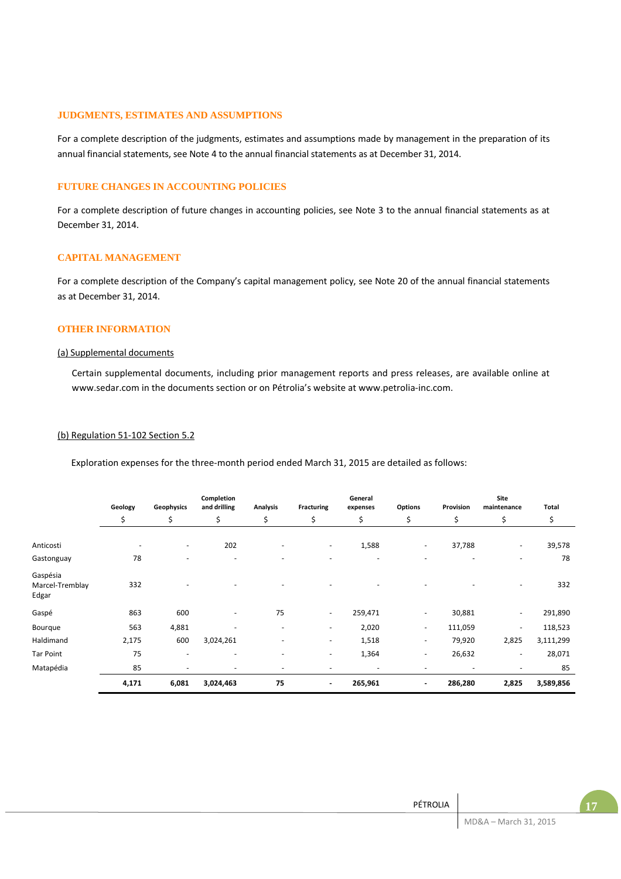### **JUDGMENTS, ESTIMATES AND ASSUMPTIONS**

For a complete description of the judgments, estimates and assumptions made by management in the preparation of its annual financial statements, see Note 4 to the annual financial statements as at December 31, 2014.

### **FUTURE CHANGES IN ACCOUNTING POLICIES**

For a complete description of future changes in accounting policies, see Note 3 to the annual financial statements as at December 31, 2014.

### **CAPITAL MANAGEMENT**

For a complete description of the Company's capital management policy, see Note 20 of the annual financial statements as at December 31, 2014.

# **OTHER INFORMATION**

#### (a) Supplemental documents

Certain supplemental documents, including prior management reports and press releases, are available online at www.sedar.com in the documents section or on Pétrolia's website at www.petrolia-inc.com.

#### (b) Regulation 51-102 Section 5.2

Exploration expenses for the three-month period ended March 31, 2015 are detailed as follows:

|                                      | Geology                  | Geophysics               | Completion<br>and drilling | Analysis                 | <b>Fracturing</b>        | General<br>expenses | Options                  | Provision | Site<br>maintenance      | Total     |
|--------------------------------------|--------------------------|--------------------------|----------------------------|--------------------------|--------------------------|---------------------|--------------------------|-----------|--------------------------|-----------|
|                                      | \$                       | \$                       | \$                         | \$                       | \$                       | \$                  | \$                       | \$        | \$                       | \$        |
| Anticosti                            | $\overline{\phantom{a}}$ | ٠                        | 202                        |                          | $\overline{\phantom{a}}$ | 1,588               | $\overline{\phantom{a}}$ | 37,788    | ٠                        | 39,578    |
| Gastonguay                           | 78                       | $\overline{\phantom{0}}$ | ٠                          | ۰                        | $\overline{\phantom{a}}$ |                     | $\overline{\phantom{a}}$ |           | $\overline{\phantom{a}}$ | 78        |
| Gaspésia<br>Marcel-Tremblay<br>Edgar | 332                      |                          |                            |                          |                          |                     |                          |           | $\overline{\phantom{a}}$ | 332       |
| Gaspé                                | 863                      | 600                      | ٠                          | 75                       | $\sim$                   | 259,471             | $\overline{\phantom{a}}$ | 30,881    | $\bar{a}$                | 291,890   |
| Bourque                              | 563                      | 4,881                    | ٠                          | $\overline{\phantom{a}}$ | $\sim$                   | 2,020               | $\overline{\phantom{a}}$ | 111,059   | $\overline{\phantom{a}}$ | 118,523   |
| Haldimand                            | 2,175                    | 600                      | 3,024,261                  |                          | $\overline{\phantom{a}}$ | 1,518               | $\overline{\phantom{a}}$ | 79,920    | 2,825                    | 3,111,299 |
| <b>Tar Point</b>                     | 75                       | ٠                        | ٠                          | ٠                        | $\overline{\phantom{a}}$ | 1,364               | $\overline{\phantom{a}}$ | 26,632    | ٠                        | 28,071    |
| Matapédia                            | 85                       |                          |                            | ۰                        |                          |                     |                          |           | ٠                        | 85        |
|                                      | 4,171                    | 6,081                    | 3,024,463                  | 75                       | ۰                        | 265,961             | $\blacksquare$           | 286,280   | 2,825                    | 3,589,856 |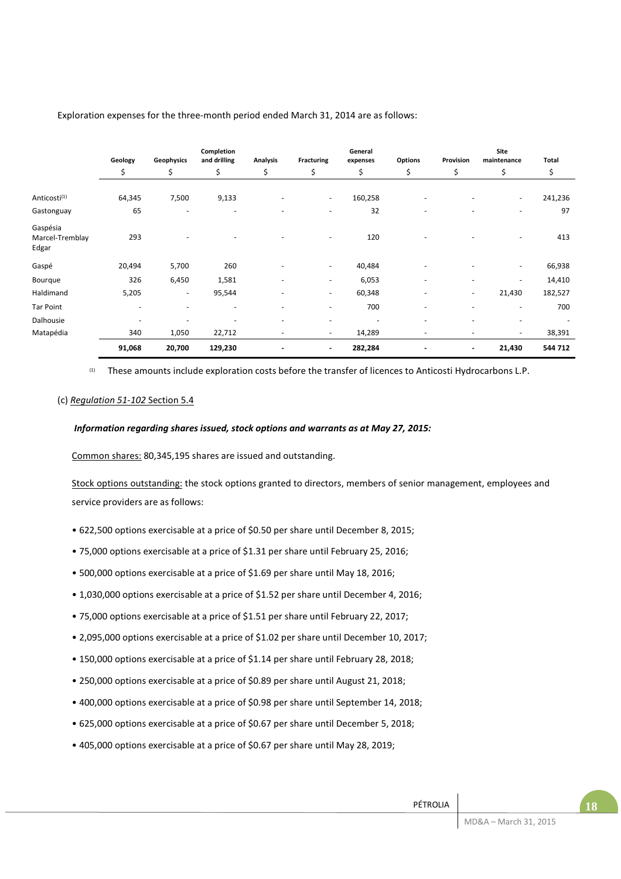|                                      | Geology                  | Geophysics               | Completion<br>and drilling | Analysis                 | <b>Fracturing</b>        | General<br>expenses      | Options                  | Provision                | Site<br>maintenance      | <b>Total</b> |
|--------------------------------------|--------------------------|--------------------------|----------------------------|--------------------------|--------------------------|--------------------------|--------------------------|--------------------------|--------------------------|--------------|
|                                      | \$                       | \$                       | \$                         | \$                       | \$                       | \$                       | \$                       | \$                       | \$                       | \$           |
| Anticosti <sup>(1)</sup>             | 64,345                   | 7,500                    | 9,133                      |                          | $\overline{\phantom{a}}$ | 160,258                  |                          |                          | $\overline{\phantom{a}}$ | 241,236      |
| Gastonguay                           | 65                       | ٠                        | $\overline{\phantom{a}}$   | $\overline{\phantom{a}}$ | ٠                        | 32                       |                          |                          | $\overline{\phantom{a}}$ | 97           |
| Gaspésia<br>Marcel-Tremblay<br>Edgar | 293                      |                          |                            |                          | ٠                        | 120                      |                          |                          | $\overline{\phantom{a}}$ | 413          |
| Gaspé                                | 20,494                   | 5,700                    | 260                        |                          | $\overline{\phantom{a}}$ | 40,484                   |                          |                          | $\overline{\phantom{a}}$ | 66,938       |
| Bourque                              | 326                      | 6,450                    | 1,581                      | $\overline{\phantom{0}}$ | $\overline{\phantom{a}}$ | 6,053                    | $\overline{\phantom{0}}$ | $\overline{\phantom{a}}$ | $\overline{\phantom{a}}$ | 14,410       |
| Haldimand                            | 5,205                    | $\overline{\phantom{a}}$ | 95,544                     | $\overline{a}$           | $\overline{\phantom{a}}$ | 60,348                   | ٠                        | $\overline{\phantom{a}}$ | 21,430                   | 182,527      |
| <b>Tar Point</b>                     | $\overline{\phantom{a}}$ | $\overline{\phantom{0}}$ |                            |                          | ٠                        | 700                      |                          |                          | $\overline{\phantom{a}}$ | 700          |
| Dalhousie                            | ٠                        | $\overline{\phantom{0}}$ |                            | $\overline{a}$           | ٠                        | $\overline{\phantom{0}}$ | ٠                        |                          |                          |              |
| Matapédia                            | 340                      | 1,050                    | 22,712                     | $\overline{\phantom{a}}$ | $\overline{\phantom{a}}$ | 14,289                   | $\overline{\phantom{0}}$ |                          | $\overline{\phantom{a}}$ | 38,391       |
|                                      | 91,068                   | 20,700                   | 129,230                    | $\blacksquare$           | ٠                        | 282,284                  | -                        | $\blacksquare$           | 21,430                   | 544 712      |

### Exploration expenses for the three-month period ended March 31, 2014 are as follows:

(1) These amounts include exploration costs before the transfer of licences to Anticosti Hydrocarbons L.P.

### (c) *Regulation 51-102* Section 5.4

### *Information regarding shares issued, stock options and warrants as at May 27, 2015:*

Common shares: 80,345,195 shares are issued and outstanding.

Stock options outstanding: the stock options granted to directors, members of senior management, employees and service providers are as follows:

- 622,500 options exercisable at a price of \$0.50 per share until December 8, 2015;
- 75,000 options exercisable at a price of \$1.31 per share until February 25, 2016;
- 500,000 options exercisable at a price of \$1.69 per share until May 18, 2016;
- 1,030,000 options exercisable at a price of \$1.52 per share until December 4, 2016;
- 75,000 options exercisable at a price of \$1.51 per share until February 22, 2017;
- 2,095,000 options exercisable at a price of \$1.02 per share until December 10, 2017;
- 150,000 options exercisable at a price of \$1.14 per share until February 28, 2018;
- 250,000 options exercisable at a price of \$0.89 per share until August 21, 2018;
- 400,000 options exercisable at a price of \$0.98 per share until September 14, 2018;
- 625,000 options exercisable at a price of \$0.67 per share until December 5, 2018;
- 405,000 options exercisable at a price of \$0.67 per share until May 28, 2019;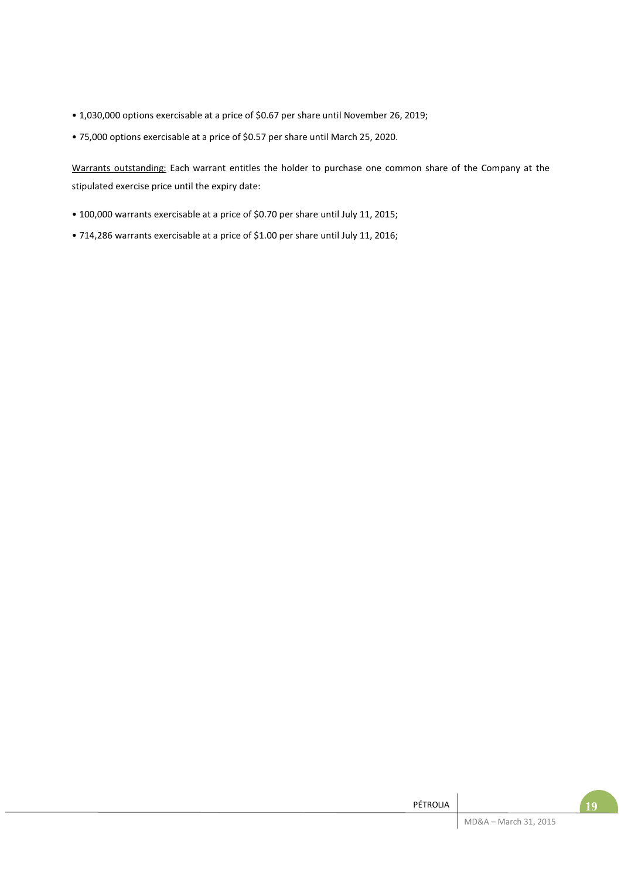- 1,030,000 options exercisable at a price of \$0.67 per share until November 26, 2019;
- 75,000 options exercisable at a price of \$0.57 per share until March 25, 2020.

Warrants outstanding: Each warrant entitles the holder to purchase one common share of the Company at the stipulated exercise price until the expiry date:

- 100,000 warrants exercisable at a price of \$0.70 per share until July 11, 2015;
- 714,286 warrants exercisable at a price of \$1.00 per share until July 11, 2016;

| PÉTROLIA | 19                    |  |
|----------|-----------------------|--|
|          | MD&A - March 31, 2015 |  |